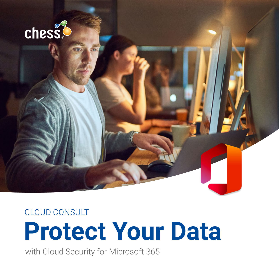

CLOUD CONSULT

# **Protect Your Data**

with Cloud Security for Microsoft 365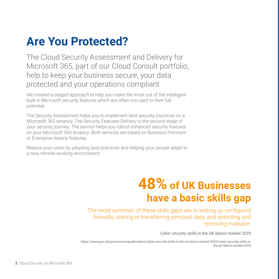### **Are You Protected?**

The Cloud Security Assessment and Delivery for Microsoft 365, part of our Cloud Consult portfolio, help to keep your business secure, your data protected and your operations compliant.

We created a staged approach to help you make the most out of the intelligent built-in Microsoft security features which are often not used to their full potential.

The Security Assessment helps you to implement best security practices on a Microsoft 365 tenancy. The Security Features Delivery is the second stage of your security journey. The service helps you rollout enhanced security features on your Microsoft 365 tenancy. Both services are based on Business Premium or Enterprise licence features.

Reduce your costs by adopting best practices and helping your people adapt to a new, remote-working environment.

### **48% of UK Businesses have a basic skills gap**

The most common of these skills gaps are in setting up configured firewalls, storing or transferring personal data, and detecting and removing malware.

*Cyber security skills in the UK labour market 2020*

*https://www.gov.uk/government/publications/cyber-security-skills-in-the-uk-labour-market-2020/cyber-security-skills-inthe-uk-labour-market-2020*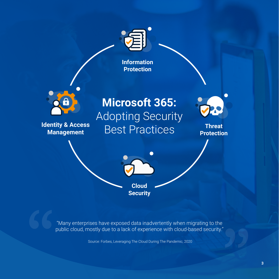

"Many enterprises have exposed data inadvertently when migrating to the public cloud, mostly due to a lack of experience with cloud-based security."

Source: Forbes, Leveraging The Cloud During The Pandemic, 2020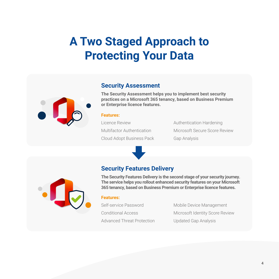### **A Two Staged Approach to Protecting Your Data**



### **Security Assessment**

**The Security Assessment helps you to implement best security practices on a Microsoft 365 tenancy, based on Business Premium or Enterprise licence features.**

#### **Features:**

Licence Review Multifactor Authentication Cloud Adopt Business Pack Authentication Hardening Microsoft Secure Score Review Gap Analysis



### **Security Features Delivery**

**The Security Features Delivery is the second stage of your security journey. The service helps you rollout enhanced security features on your Microsoft 365 tenancy, based on Business Premium or Enterprise licence features.**

#### **Features:**

Self-service Password Conditional Access Advanced Threat Protection Mobile Device Management Microsoft Identity Score Review Updated Gap Analysis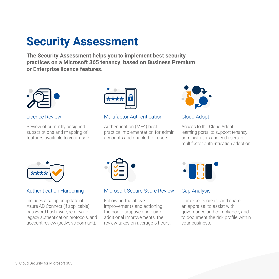### **Security Assessment**

**The Security Assessment helps you to implement best security practices on a Microsoft 365 tenancy, based on Business Premium or Enterprise licence features.**



Licence Review

Review of currently assigned subscriptions and mapping of features available to your users.



### Multifactor Authentication

Authentication (MFA) best practice implementation for admin accounts and enabled for users.



Cloud Adopt

Access to the Cloud Adopt learning portal to support tenancy administrators and end users in multifactor authentication adoption.



### Authentication Hardening

Includes a setup or update of Azure AD Connect (if applicable), password hash sync, removal of legacy authentication protocols, and account review (active vs dormant).

ď

### Microsoft Secure Score Review

Following the above improvements and actioning the non-disruptive and quick additional improvements, the review takes on average 3 hours.



### Gap Analysis

Our experts create and share an appraisal to assist with governance and compliance, and to document the risk profile within your business.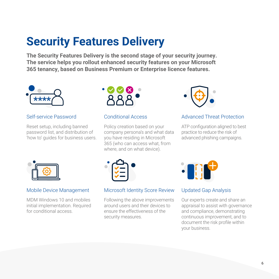### **Security Features Delivery**

**The Security Features Delivery is the second stage of your security journey. The service helps you rollout enhanced security features on your Microsoft 365 tenancy, based on Business Premium or Enterprise licence features.**



#### Self-service Password

Reset setup, including banned password list, and distribution of 'how to' guides for business users.



#### Conditional Access

Policy creation based on your company persona's and what data you have residing in Microsoft 365 (who can access what, from where, and on what device).



#### Advanced Threat Protection

ATP configuration aligned to best practice to reduce the risk of advanced phishing campaigns.



### Mobile Device Management

MDM Windows 10 and mobiles initial implementation. Required for conditional access.



#### Microsoft Identity Score Review

Following the above improvements around users and their devices to ensure the effectiveness of the security measures.



### Updated Gap Analysis

Our experts create and share an appraisal to assist with governance and compliance, demonstrating continuous improvement, and to document the risk profile within your business.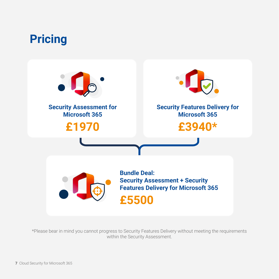

\*Please bear in mind you cannot progress to Security Features Delivery without meeting the requirements within the Security Assessment.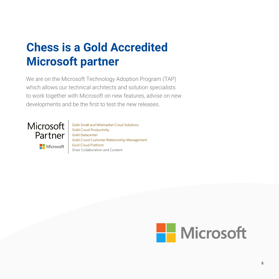### **Chess is a Gold Accredited Microsoft partner**

We are on the Microsoft Technology Adoption Program (TAP) which allows our technical architects and solution specialists to work together with Microsoft on new features, advise on new developments and be the first to test the new releases.



**Nicrosoft** 

**Gold Small and Midmarket Cloud Solutions Gold Cloud Productivity Gold Datacenter Gold Cloud Customer Relationship Management Gold Cloud Platform** Silver Collaboration and Content

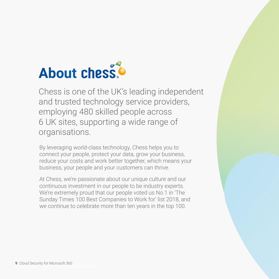## **About chess**

Chess is one of the UK's leading independent and trusted technology service providers, employing 480 skilled people across 6 UK sites, supporting a wide range of organisations.

By leveraging world-class technology, Chess helps you to connect your people, protect your data, grow your business, reduce your costs and work better together, which means your business, your people and your customers can thrive.

At Chess, we're passionate about our unique culture and our continuous investment in our people to be industry experts. We're extremely proud that our people voted us No.1 in 'The Sunday Times 100 Best Companies to Work for' list 2018, and we continue to celebrate more than ten years in the top 100.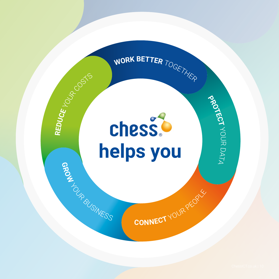